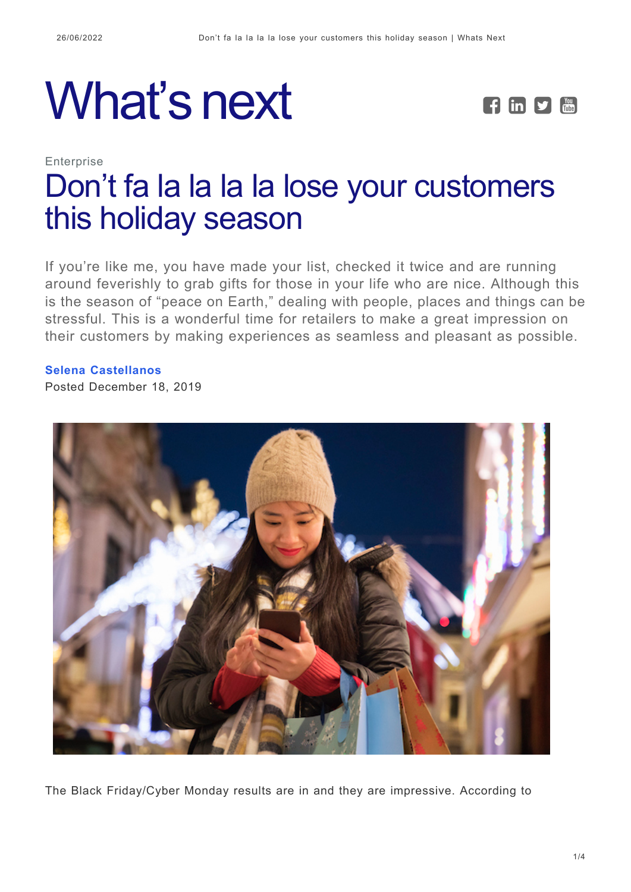



## **Enterprise** [Don't fa la la la la lose your customers](https://whatsnext.nuance.com/enterprise/omni-channel-holiday-adventures/) [this holiday season](https://whatsnext.nuance.com/enterprise/omni-channel-holiday-adventures/)

If you're like me, you have made your list, checked it twice and are running around feverishly to grab gifts for those in your life who are nice. Although this is the season of "peace on Earth," dealing with people, places and things can be stressful. This is a wonderful time for retailers to make a great impression on their customers by making experiences as seamless and pleasant as possible.

#### **[Selena Castellanos](https://whatsnext.nuance.com/author/selena-castellanos/)**

Posted December 18, 2019



The Black Friday/Cyber Monday results are in and they are impressive. According to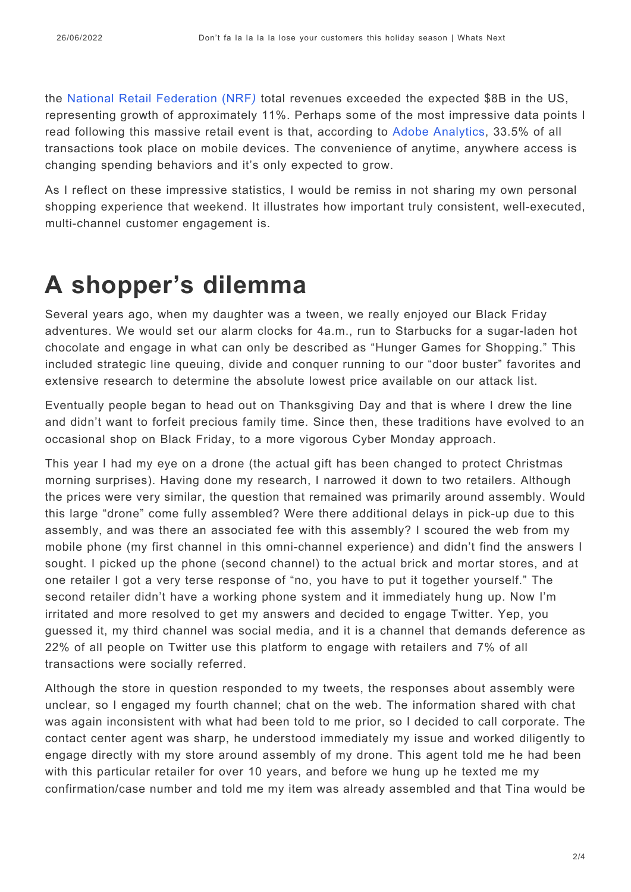the [National Retail Federation \(NRF](https://nrf.com/media-center/press-releases/thanksgiving-draws-nearly-190-million-shoppers)*[\)](https://nrf.com/media-center/press-releases/thanksgiving-draws-nearly-190-million-shoppers)* total revenues exceeded the expected \$8B in the US, representing growth of approximately 11%. Perhaps some of the most impressive data points I read following this massive retail event is that, according to [Adobe Analytics,](https://www.cnbc.com/2018/11/24/black-friday-pulled-in-a-record-6point22-billion-in-online-sales-adobe.html) 33.5% of all transactions took place on mobile devices. The convenience of anytime, anywhere access is changing spending behaviors and it's only expected to grow.

As I reflect on these impressive statistics, I would be remiss in not sharing my own personal shopping experience that weekend. It illustrates how important truly consistent, well-executed, multi-channel customer engagement is.

# **A shopper's dilemma**

Several years ago, when my daughter was a tween, we really enjoyed our Black Friday adventures. We would set our alarm clocks for 4a.m., run to Starbucks for a sugar-laden hot chocolate and engage in what can only be described as "Hunger Games for Shopping." This included strategic line queuing, divide and conquer running to our "door buster" favorites and extensive research to determine the absolute lowest price available on our attack list.

Eventually people began to head out on Thanksgiving Day and that is where I drew the line and didn't want to forfeit precious family time. Since then, these traditions have evolved to an occasional shop on Black Friday, to a more vigorous Cyber Monday approach.

This year I had my eye on a drone (the actual gift has been changed to protect Christmas morning surprises). Having done my research, I narrowed it down to two retailers. Although the prices were very similar, the question that remained was primarily around assembly. Would this large "drone" come fully assembled? Were there additional delays in pick-up due to this assembly, and was there an associated fee with this assembly? I scoured the web from my mobile phone (my first channel in this omni-channel experience) and didn't find the answers I sought. I picked up the phone (second channel) to the actual brick and mortar stores, and at one retailer I got a very terse response of "no, you have to put it together yourself." The second retailer didn't have a working phone system and it immediately hung up. Now I'm irritated and more resolved to get my answers and decided to engage Twitter. Yep, you guessed it, my third channel was social media, and it is a channel that demands deference as 22% of all people on Twitter use this platform to engage with retailers and 7% of all transactions were socially referred.

Although the store in question responded to my tweets, the responses about assembly were unclear, so I engaged my fourth channel; chat on the web. The information shared with chat was again inconsistent with what had been told to me prior, so I decided to call corporate. The contact center agent was sharp, he understood immediately my issue and worked diligently to engage directly with my store around assembly of my drone. This agent told me he had been with this particular retailer for over 10 years, and before we hung up he texted me my confirmation/case number and told me my item was already assembled and that Tina would be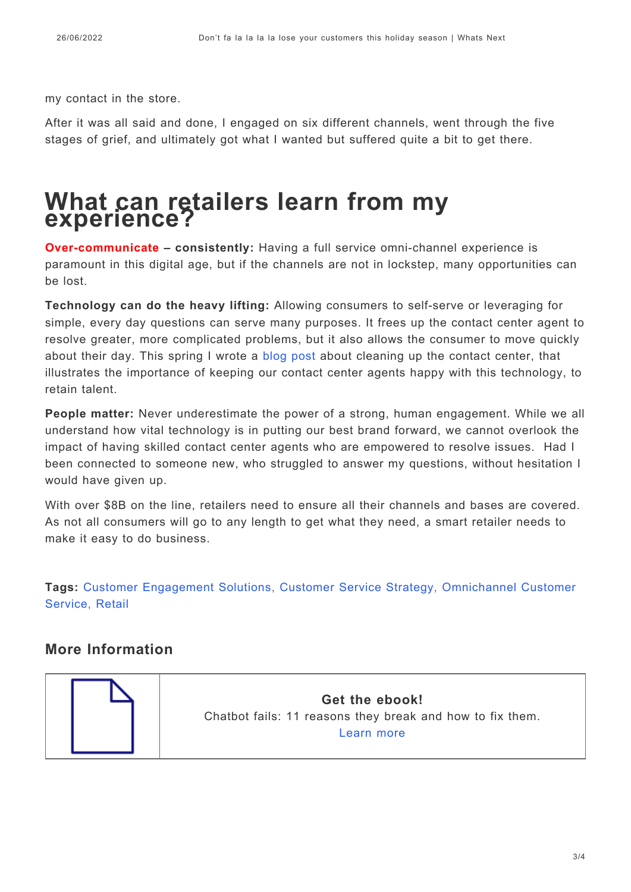my contact in the store.

After it was all said and done, I engaged on six different channels, went through the five stages of grief, and ultimately got what I wanted but suffered quite a bit to get there.

# **What can retailers learn from my experience?**

**Over-communicate – consistently:** Having a full service omni-channel experience is paramount in this digital age, but if the channels are not in lockstep, many opportunities can be lost.

**Technology can do the heavy lifting:** Allowing consumers to self-serve or leveraging for simple, every day questions can serve many purposes. It frees up the contact center agent to resolve greater, more complicated problems, but it also allows the consumer to move quickly about their day. This spring I wrote a [blog post](https://whatsnext.nuance.com/enterprise-2/spring-cleaning-contact-center/) about cleaning up the contact center, that illustrates the importance of keeping our contact center agents happy with this technology, to retain talent.

**People matter:** Never underestimate the power of a strong, human engagement. While we all understand how vital technology is in putting our best brand forward, we cannot overlook the impact of having skilled contact center agents who are empowered to resolve issues. Had I been connected to someone new, who struggled to answer my questions, without hesitation I would have given up.

With over \$8B on the line, retailers need to ensure all their channels and bases are covered. As not all consumers will go to any length to get what they need, a smart retailer needs to make it easy to do business.

**Tags:** [Customer Engagement Solutions](https://whatsnext.nuance.com/tag/customer-engagement-solutions/), [Customer Service Strategy,](https://whatsnext.nuance.com/tag/customer-service-strategy/) [Omnichannel Customer](https://whatsnext.nuance.com/tag/omnichannel-customer-service/) [Service,](https://whatsnext.nuance.com/tag/omnichannel-customer-service/) [Retail](https://whatsnext.nuance.com/tag/retail-2/)

## **More Information**